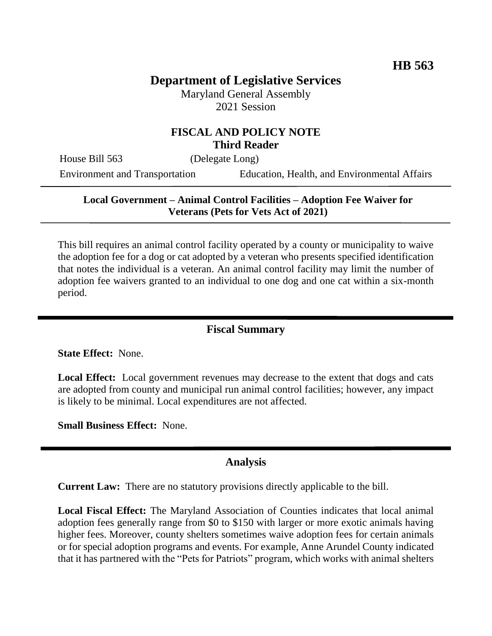# **Department of Legislative Services**

Maryland General Assembly 2021 Session

#### **FISCAL AND POLICY NOTE Third Reader**

House Bill 563 (Delegate Long)

Environment and Transportation Education, Health, and Environmental Affairs

### **Local Government – Animal Control Facilities – Adoption Fee Waiver for Veterans (Pets for Vets Act of 2021)**

This bill requires an animal control facility operated by a county or municipality to waive the adoption fee for a dog or cat adopted by a veteran who presents specified identification that notes the individual is a veteran. An animal control facility may limit the number of adoption fee waivers granted to an individual to one dog and one cat within a six-month period.

### **Fiscal Summary**

**State Effect:** None.

**Local Effect:** Local government revenues may decrease to the extent that dogs and cats are adopted from county and municipal run animal control facilities; however, any impact is likely to be minimal. Local expenditures are not affected.

**Small Business Effect:** None.

#### **Analysis**

**Current Law:** There are no statutory provisions directly applicable to the bill.

**Local Fiscal Effect:** The Maryland Association of Counties indicates that local animal adoption fees generally range from \$0 to \$150 with larger or more exotic animals having higher fees. Moreover, county shelters sometimes waive adoption fees for certain animals or for special adoption programs and events. For example, Anne Arundel County indicated that it has partnered with the "Pets for Patriots" program, which works with animal shelters